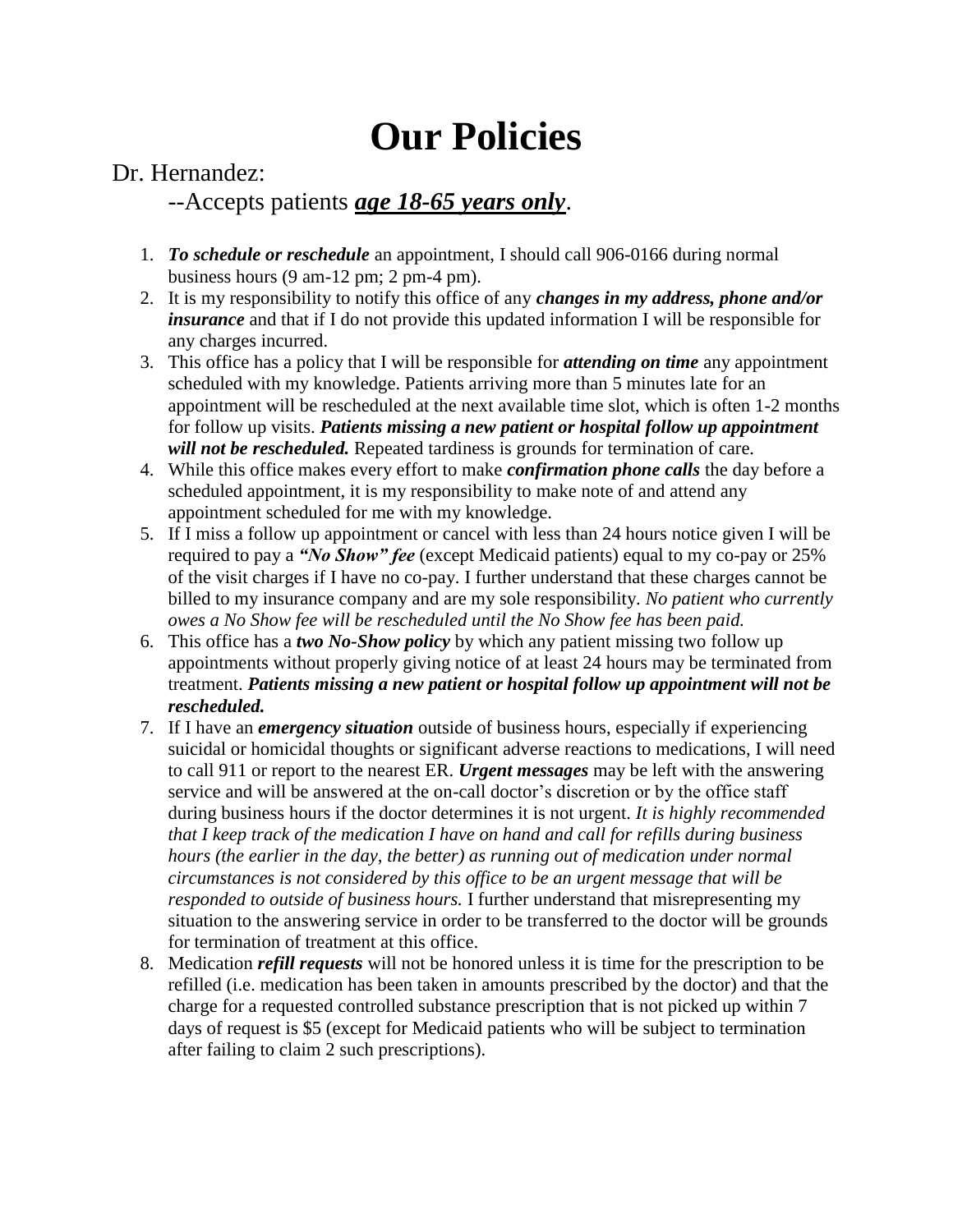## **Our Policies**

Dr. Hernandez:

## --Accepts patients *age 18-65 years only*.

- 1. *To schedule or reschedule* an appointment, I should call 906-0166 during normal business hours (9 am-12 pm; 2 pm-4 pm).
- 2. It is my responsibility to notify this office of any *changes in my address, phone and/or insurance* and that if I do not provide this updated information I will be responsible for any charges incurred.
- 3. This office has a policy that I will be responsible for *attending on time* any appointment scheduled with my knowledge. Patients arriving more than 5 minutes late for an appointment will be rescheduled at the next available time slot, which is often 1-2 months for follow up visits. *Patients missing a new patient or hospital follow up appointment will not be rescheduled.* Repeated tardiness is grounds for termination of care.
- 4. While this office makes every effort to make *confirmation phone calls* the day before a scheduled appointment, it is my responsibility to make note of and attend any appointment scheduled for me with my knowledge.
- 5. If I miss a follow up appointment or cancel with less than 24 hours notice given I will be required to pay a *"No Show" fee* (except Medicaid patients) equal to my co-pay or 25% of the visit charges if I have no co-pay. I further understand that these charges cannot be billed to my insurance company and are my sole responsibility. *No patient who currently owes a No Show fee will be rescheduled until the No Show fee has been paid.*
- 6. This office has a *two No-Show policy* by which any patient missing two follow up appointments without properly giving notice of at least 24 hours may be terminated from treatment. *Patients missing a new patient or hospital follow up appointment will not be rescheduled.*
- 7. If I have an *emergency situation* outside of business hours, especially if experiencing suicidal or homicidal thoughts or significant adverse reactions to medications, I will need to call 911 or report to the nearest ER. *Urgent messages* may be left with the answering service and will be answered at the on-call doctor's discretion or by the office staff during business hours if the doctor determines it is not urgent. *It is highly recommended that I keep track of the medication I have on hand and call for refills during business hours (the earlier in the day, the better) as running out of medication under normal circumstances is not considered by this office to be an urgent message that will be responded to outside of business hours.* I further understand that misrepresenting my situation to the answering service in order to be transferred to the doctor will be grounds for termination of treatment at this office.
- 8. Medication *refill requests* will not be honored unless it is time for the prescription to be refilled (i.e. medication has been taken in amounts prescribed by the doctor) and that the charge for a requested controlled substance prescription that is not picked up within 7 days of request is \$5 (except for Medicaid patients who will be subject to termination after failing to claim 2 such prescriptions).